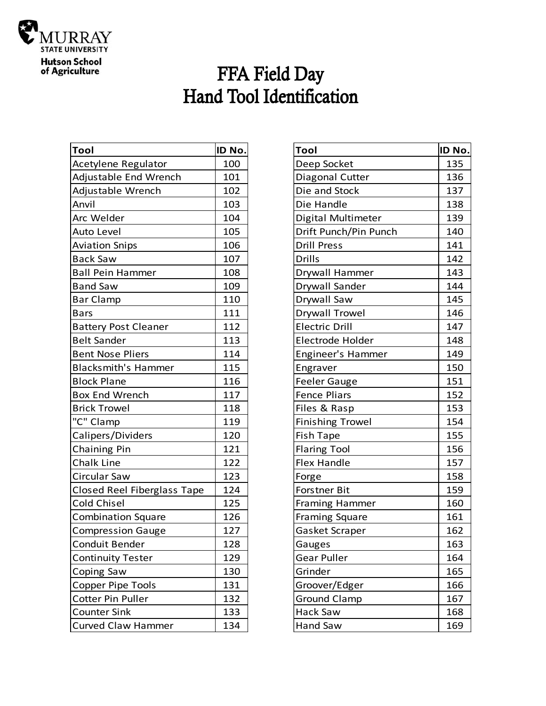

## FFA Field Day<br>Hand Tool Identification

| <b>Tool</b>                 | ID No. |
|-----------------------------|--------|
| Acetylene Regulator         | 100    |
| Adjustable End Wrench       | 101    |
| Adjustable Wrench           | 102    |
| Anvil                       | 103    |
| Arc Welder                  | 104    |
| Auto Level                  | 105    |
| <b>Aviation Snips</b>       | 106    |
| <b>Back Saw</b>             | 107    |
| <b>Ball Pein Hammer</b>     | 108    |
| <b>Band Saw</b>             | 109    |
| <b>Bar Clamp</b>            | 110    |
| <b>Bars</b>                 | 111    |
| <b>Battery Post Cleaner</b> | 112    |
| <b>Belt Sander</b>          | 113    |
| <b>Bent Nose Pliers</b>     | 114    |
| <b>Blacksmith's Hammer</b>  | 115    |
| <b>Block Plane</b>          | 116    |
| <b>Box End Wrench</b>       | 117    |
| <b>Brick Trowel</b>         | 118    |
| "C" Clamp                   | 119    |
| Calipers/Dividers           | 120    |
| Chaining Pin                | 121    |
| Chalk Line                  | 122    |
| Circular Saw                | 123    |
| Closed Reel Fiberglass Tape | 124    |
| Cold Chisel                 | 125    |
| <b>Combination Square</b>   | 126    |
| <b>Compression Gauge</b>    | 127    |
| Conduit Bender              | 128    |
| <b>Continuity Tester</b>    | 129    |
| <b>Coping Saw</b>           | 130    |
| Copper Pipe Tools           | 131    |
| Cotter Pin Puller           | 132    |
| <b>Counter Sink</b>         | 133    |
| <b>Curved Claw Hammer</b>   | 134    |

| Tool                    | ID No. |
|-------------------------|--------|
| Deep Socket             | 135    |
| Diagonal Cutter         | 136    |
| Die and Stock           | 137    |
| Die Handle              | 138    |
| Digital Multimeter      | 139    |
| Drift Punch/Pin Punch   | 140    |
| <b>Drill Press</b>      | 141    |
| <b>Drills</b>           | 142    |
| Drywall Hammer          | 143    |
| Drywall Sander          | 144    |
| Drywall Saw             | 145    |
| <b>Drywall Trowel</b>   | 146    |
| <b>Electric Drill</b>   | 147    |
| Electrode Holder        | 148    |
| Engineer's Hammer       | 149    |
| Engraver                | 150    |
| <b>Feeler Gauge</b>     | 151    |
| <b>Fence Pliars</b>     | 152    |
| Files & Rasp            | 153    |
| <b>Finishing Trowel</b> | 154    |
| <b>Fish Tape</b>        | 155    |
| <b>Flaring Tool</b>     | 156    |
| <b>Flex Handle</b>      | 157    |
| Forge                   | 158    |
| <b>Forstner Bit</b>     | 159    |
| Framing Hammer          | 160    |
| <b>Framing Square</b>   | 161    |
| Gasket Scraper          | 162    |
| Gauges                  | 163    |
| Gear Puller             | 164    |
| Grinder                 | 165    |
| Groover/Edger           | 166    |
| <b>Ground Clamp</b>     | 167    |
| Hack Saw                | 168    |
| Hand Saw                | 169    |